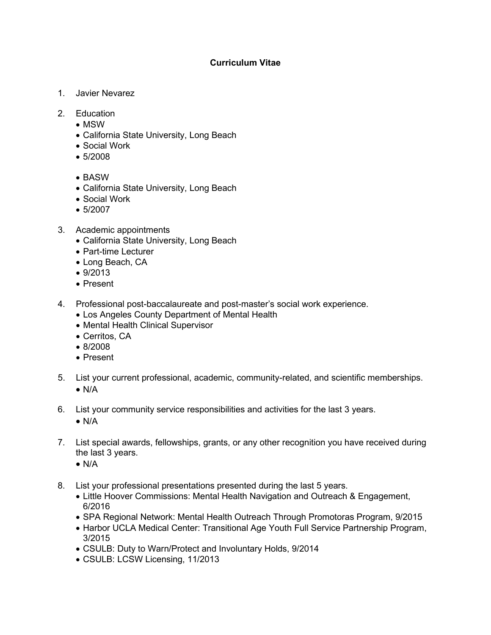## **Curriculum Vitae**

- 1. Javier Nevarez
- 2. Education
	- MSW
	- California State University, Long Beach
	- Social Work
	- 5/2008
	- BASW
	- California State University, Long Beach
	- Social Work
	- 5/2007
- 3. Academic appointments
	- California State University, Long Beach
	- Part-time Lecturer
	- Long Beach, CA
	- 9/2013
	- Present
- 4. Professional post-baccalaureate and post-master's social work experience.
	- Los Angeles County Department of Mental Health
	- Mental Health Clinical Supervisor
	- Cerritos, CA
	- 8/2008
	- Present
- 5. List your current professional, academic, community-related, and scientific memberships.
	- $\bullet$  N/A
- 6. List your community service responsibilities and activities for the last 3 years.
	- $\bullet$  N/A
- 7. List special awards, fellowships, grants, or any other recognition you have received during the last 3 years.
	- $\bullet$  N/A
- 8. List your professional presentations presented during the last 5 years.
	- Little Hoover Commissions: Mental Health Navigation and Outreach & Engagement, 6/2016
	- SPA Regional Network: Mental Health Outreach Through Promotoras Program, 9/2015
	- Harbor UCLA Medical Center: Transitional Age Youth Full Service Partnership Program, 3/2015
	- CSULB: Duty to Warn/Protect and Involuntary Holds, 9/2014
	- CSULB: LCSW Licensing, 11/2013